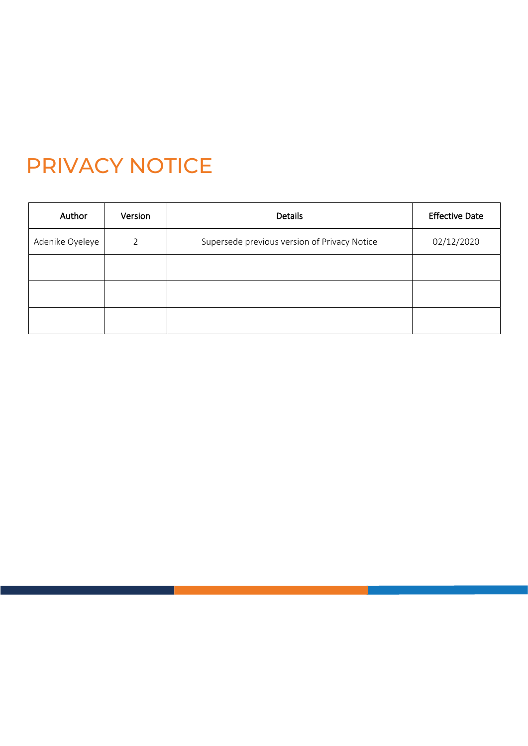# PRIVACY NOTICE

| Author          | Version        | <b>Details</b>                               | <b>Effective Date</b> |
|-----------------|----------------|----------------------------------------------|-----------------------|
| Adenike Oyeleye | $\overline{2}$ | Supersede previous version of Privacy Notice | 02/12/2020            |
|                 |                |                                              |                       |
|                 |                |                                              |                       |
|                 |                |                                              |                       |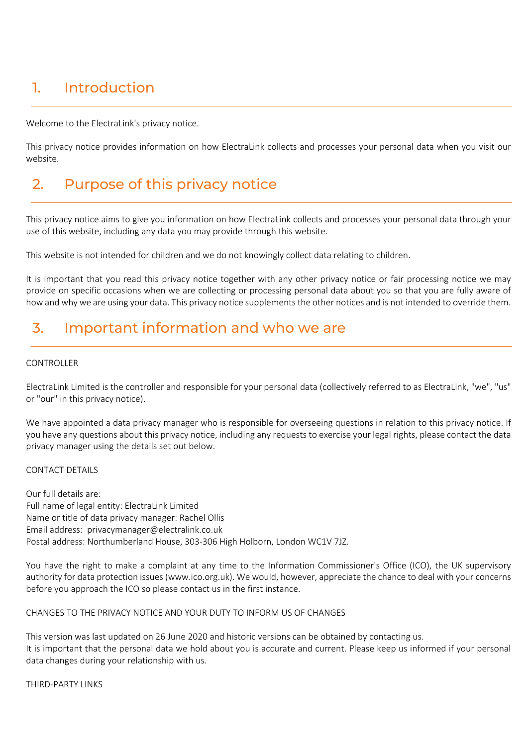# 1. Introduction

Welcome to the ElectraLink's privacy notice.

This privacy notice provides information on how ElectraLink collects and processes your personal data when you visit our website.

### 2. Purpose of this privacy notice

This privacy notice aims to give you information on how ElectraLink collects and processes your personal data through your use of this website, including any data you may provide through this website.

This website is not intended for children and we do not knowingly collect data relating to children.

It is important that you read this privacy notice together with any other privacy notice or fair processing notice we may provide on specific occasions when we are collecting or processing personal data about you so that you are fully aware of how and why we are using your data. This privacy notice supplements the other notices and is not intended to override them.

### 3. Important information and who we are

#### CONTROLLER

ElectraLink Limited is the controller and responsible for your personal data (collectively referred to as ElectraLink, "we", "us" or "our" in this privacy notice).

We have appointed a data privacy manager who is responsible for overseeing questions in relation to this privacy notice. If you have any questions about this privacy notice, including any requests to exercise your legal rights, please contact the data privacy manager using the details set out below.

### CONTACT DETAILS

Our full details are: Full name of legal entity: ElectraLink Limited Name or title of data privacy manager: Rachel Ollis Email address: privacymanager@electralink.co.uk Postal address: Northumberland House, 303-306 High Holborn, London WC1V 7JZ.

You have the right to make a complaint at any time to the Information Commissioner's Office (ICO), the UK supervisory authority for data protection issues (www.ico.org.uk). We would, however, appreciate the chance to deal with your concerns before you approach the ICO so please contact us in the first instance.

CHANGES TO THE PRIVACY NOTICE AND YOUR DUTY TO INFORM US OF CHANGES

This version was last updated on 26 June 2020 and historic versions can be obtained by contacting us. It is important that the personal data we hold about you is accurate and current. Please keep us informed if your personal data changes during your relationship with us.

THIRD-PARTY LINKS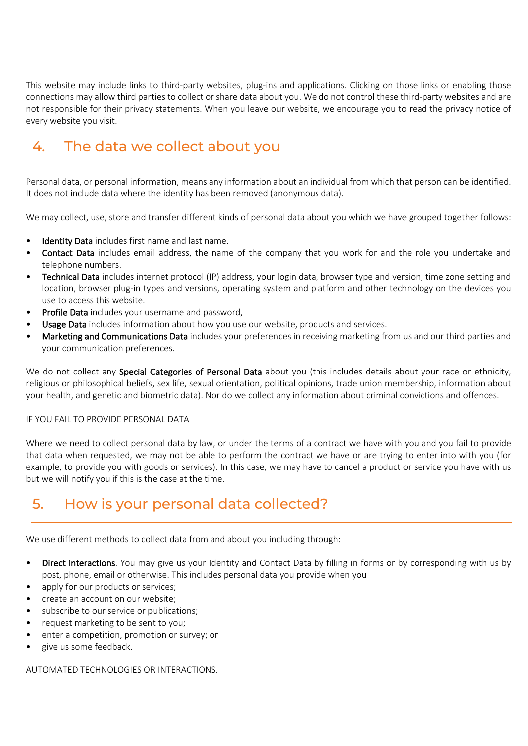This website may include links to third-party websites, plug-ins and applications. Clicking on those links or enabling those connections may allow third parties to collect or share data about you. We do not control these third-party websites and are not responsible for their privacy statements. When you leave our website, we encourage you to read the privacy notice of every website you visit.

# 4. The data we collect about you

Personal data, or personal information, means any information about an individual from which that person can be identified. It does not include data where the identity has been removed (anonymous data).

We may collect, use, store and transfer different kinds of personal data about you which we have grouped together follows:

- Identity Data includes first name and last name.
- Contact Data includes email address, the name of the company that you work for and the role you undertake and telephone numbers.
- Technical Data includes internet protocol (IP) address, your login data, browser type and version, time zone setting and location, browser plug-in types and versions, operating system and platform and other technology on the devices you use to access this website.
- Profile Data includes your username and password,
- Usage Data includes information about how you use our website, products and services.
- Marketing and Communications Data includes your preferences in receiving marketing from us and our third parties and your communication preferences.

We do not collect any Special Categories of Personal Data about you (this includes details about your race or ethnicity, religious or philosophical beliefs, sex life, sexual orientation, political opinions, trade union membership, information about your health, and genetic and biometric data). Nor do we collect any information about criminal convictions and offences.

### IF YOU FAIL TO PROVIDE PERSONAL DATA

Where we need to collect personal data by law, or under the terms of a contract we have with you and you fail to provide that data when requested, we may not be able to perform the contract we have or are trying to enter into with you (for example, to provide you with goods or services). In this case, we may have to cancel a product or service you have with us but we will notify you if this is the case at the time.

### 5. How is your personal data collected?

We use different methods to collect data from and about you including through:

- Direct interactions. You may give us your Identity and Contact Data by filling in forms or by corresponding with us by post, phone, email or otherwise. This includes personal data you provide when you
- apply for our products or services:
- create an account on our website;
- subscribe to our service or publications:
- request marketing to be sent to you;
- enter a competition, promotion or survey; or
- give us some feedback.

AUTOMATED TECHNOLOGIES OR INTERACTIONS.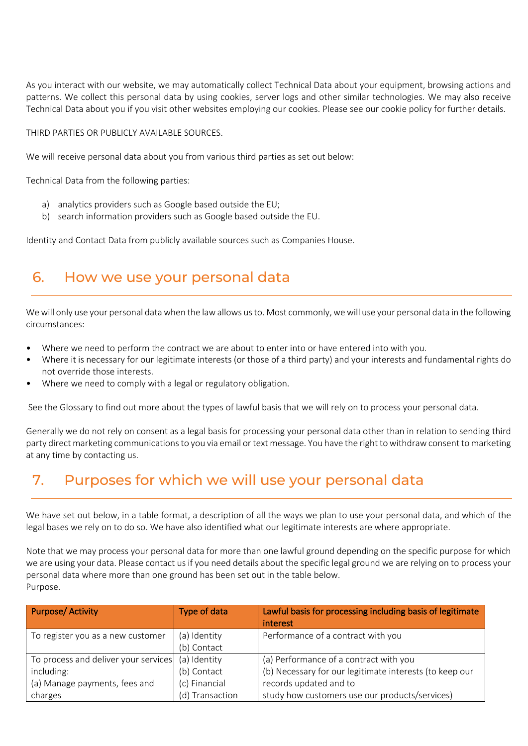As you interact with our website, we may automatically collect Technical Data about your equipment, browsing actions and patterns. We collect this personal data by using cookies, server logs and other similar technologies. We may also receive Technical Data about you if you visit other websites employing our cookies. Please see our cookie policy for further details.

THIRD PARTIES OR PUBLICLY AVAILABLE SOURCES.

We will receive personal data about you from various third parties as set out below:

Technical Data from the following parties:

- a) analytics providers such as Google based outside the EU;
- b) search information providers such as Google based outside the EU.

Identity and Contact Data from publicly available sources such as Companies House.

# 6. How we use your personal data

We will only use your personal data when the law allows us to. Most commonly, we will use your personal data in the following circumstances:

- Where we need to perform the contract we are about to enter into or have entered into with you.
- Where it is necessary for our legitimate interests (or those of a third party) and your interests and fundamental rights do not override those interests.
- Where we need to comply with a legal or regulatory obligation.

See the Glossary to find out more about the types of lawful basis that we will rely on to process your personal data.

Generally we do not rely on consent as a legal basis for processing your personal data other than in relation to sending third party direct marketing communications to you via email or text message. You have the right to withdraw consent to marketing at any time by contacting us.

### 7. Purposes for which we will use your personal data

We have set out below, in a table format, a description of all the ways we plan to use your personal data, and which of the legal bases we rely on to do so. We have also identified what our legitimate interests are where appropriate.

Note that we may process your personal data for more than one lawful ground depending on the specific purpose for which we are using your data. Please contact us if you need details about the specific legal ground we are relying on to process your personal data where more than one ground has been set out in the table below. Purpose.

| <b>Purpose/Activity</b>              | Type of data    | Lawful basis for processing including basis of legitimate |
|--------------------------------------|-----------------|-----------------------------------------------------------|
|                                      |                 | interest                                                  |
| To register you as a new customer    | (a) Identity    | Performance of a contract with you                        |
|                                      | (b) Contact     |                                                           |
| To process and deliver your services | (a) Identity    | (a) Performance of a contract with you                    |
| including:                           | (b) Contact     | (b) Necessary for our legitimate interests (to keep our   |
| (a) Manage payments, fees and        | (c) Financial   | records updated and to                                    |
| charges                              | (d) Transaction | study how customers use our products/services)            |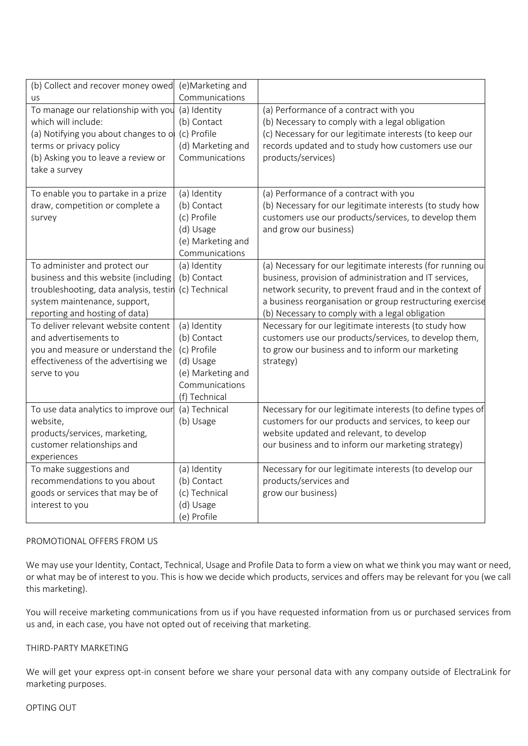| (b) Collect and recover money owed     | (e)Marketing and  |                                                            |
|----------------------------------------|-------------------|------------------------------------------------------------|
| us                                     | Communications    |                                                            |
| To manage our relationship with you    | (a) Identity      | (a) Performance of a contract with you                     |
| which will include:                    | (b) Contact       | (b) Necessary to comply with a legal obligation            |
| (a) Notifying you about changes to of  | (c) Profile       | (c) Necessary for our legitimate interests (to keep our    |
| terms or privacy policy                | (d) Marketing and | records updated and to study how customers use our         |
| (b) Asking you to leave a review or    | Communications    | products/services)                                         |
| take a survey                          |                   |                                                            |
|                                        |                   |                                                            |
| To enable you to partake in a prize    | (a) Identity      | (a) Performance of a contract with you                     |
| draw, competition or complete a        | (b) Contact       | (b) Necessary for our legitimate interests (to study how   |
| survey                                 | (c) Profile       | customers use our products/services, to develop them       |
|                                        | (d) Usage         | and grow our business)                                     |
|                                        | (e) Marketing and |                                                            |
|                                        | Communications    |                                                            |
| To administer and protect our          | (a) Identity      | (a) Necessary for our legitimate interests (for running ou |
| business and this website (including   | (b) Contact       | business, provision of administration and IT services,     |
| troubleshooting, data analysis, testin | (c) Technical     | network security, to prevent fraud and in the context of   |
| system maintenance, support,           |                   | a business reorganisation or group restructuring exercise  |
| reporting and hosting of data)         |                   | (b) Necessary to comply with a legal obligation            |
| To deliver relevant website content    | (a) Identity      | Necessary for our legitimate interests (to study how       |
| and advertisements to                  | (b) Contact       | customers use our products/services, to develop them,      |
| you and measure or understand the      | (c) Profile       | to grow our business and to inform our marketing           |
| effectiveness of the advertising we    | (d) Usage         | strategy)                                                  |
| serve to you                           | (e) Marketing and |                                                            |
|                                        | Communications    |                                                            |
|                                        | (f) Technical     |                                                            |
| To use data analytics to improve our   | (a) Technical     | Necessary for our legitimate interests (to define types of |
| website,                               | (b) Usage         | customers for our products and services, to keep our       |
| products/services, marketing,          |                   | website updated and relevant, to develop                   |
| customer relationships and             |                   | our business and to inform our marketing strategy)         |
| experiences                            |                   |                                                            |
| To make suggestions and                | (a) Identity      | Necessary for our legitimate interests (to develop our     |
| recommendations to you about           | (b) Contact       | products/services and                                      |
| goods or services that may be of       | (c) Technical     | grow our business)                                         |
| interest to you                        | (d) Usage         |                                                            |
|                                        | (e) Profile       |                                                            |

### PROMOTIONAL OFFERS FROM US

We may use your Identity, Contact, Technical, Usage and Profile Data to form a view on what we think you may want or need, or what may be of interest to you. This is how we decide which products, services and offers may be relevant for you (we call this marketing).

You will receive marketing communications from us if you have requested information from us or purchased services from us and, in each case, you have not opted out of receiving that marketing.

### THIRD-PARTY MARKETING

We will get your express opt-in consent before we share your personal data with any company outside of ElectraLink for marketing purposes.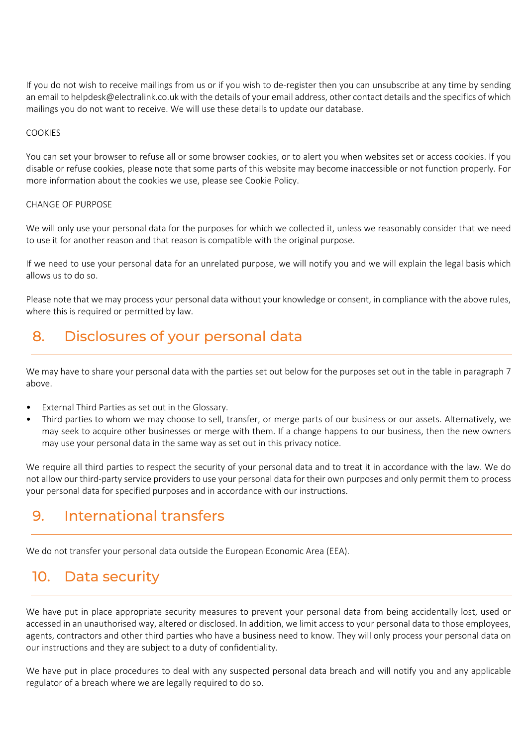If you do not wish to receive mailings from us or if you wish to de-register then you can unsubscribe at any time by sending an email to helpdesk@electralink.co.uk with the details of your email address, other contact details and the specifics of which mailings you do not want to receive. We will use these details to update our database.

#### **COOKIES**

You can set your browser to refuse all or some browser cookies, or to alert you when websites set or access cookies. If you disable or refuse cookies, please note that some parts of this website may become inaccessible or not function properly. For more information about the cookies we use, please see Cookie Policy.

#### CHANGE OF PURPOSE

We will only use your personal data for the purposes for which we collected it, unless we reasonably consider that we need to use it for another reason and that reason is compatible with the original purpose.

If we need to use your personal data for an unrelated purpose, we will notify you and we will explain the legal basis which allows us to do so.

Please note that we may process your personal data without your knowledge or consent, in compliance with the above rules, where this is required or permitted by law.

### 8. Disclosures of your personal data

We may have to share your personal data with the parties set out below for the purposes set out in the table in paragraph 7 above.

- External Third Parties as set out in the Glossary.
- Third parties to whom we may choose to sell, transfer, or merge parts of our business or our assets. Alternatively, we may seek to acquire other businesses or merge with them. If a change happens to our business, then the new owners may use your personal data in the same way as set out in this privacy notice.

We require all third parties to respect the security of your personal data and to treat it in accordance with the law. We do not allow our third-party service providers to use your personal data for their own purposes and only permit them to process your personal data for specified purposes and in accordance with our instructions.

### 9. International transfers

We do not transfer your personal data outside the European Economic Area (EEA).

### 10. Data security

We have put in place appropriate security measures to prevent your personal data from being accidentally lost, used or accessed in an unauthorised way, altered or disclosed. In addition, we limit access to your personal data to those employees, agents, contractors and other third parties who have a business need to know. They will only process your personal data on our instructions and they are subject to a duty of confidentiality.

We have put in place procedures to deal with any suspected personal data breach and will notify you and any applicable regulator of a breach where we are legally required to do so.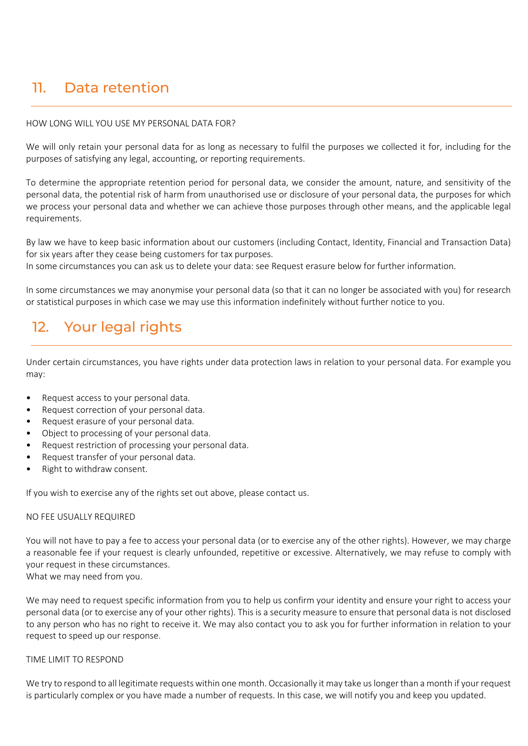# 11. Data retention

### HOW LONG WILL YOU USE MY PERSONAL DATA FOR?

We will only retain your personal data for as long as necessary to fulfil the purposes we collected it for, including for the purposes of satisfying any legal, accounting, or reporting requirements.

To determine the appropriate retention period for personal data, we consider the amount, nature, and sensitivity of the personal data, the potential risk of harm from unauthorised use or disclosure of your personal data, the purposes for which we process your personal data and whether we can achieve those purposes through other means, and the applicable legal requirements.

By law we have to keep basic information about our customers (including Contact, Identity, Financial and Transaction Data) for six years after they cease being customers for tax purposes.

In some circumstances you can ask us to delete your data: see Request erasure below for further information.

In some circumstances we may anonymise your personal data (so that it can no longer be associated with you) for research or statistical purposes in which case we may use this information indefinitely without further notice to you.

# 12. Your legal rights

Under certain circumstances, you have rights under data protection laws in relation to your personal data. For example you may:

- Request access to your personal data.
- Request correction of your personal data.
- Request erasure of your personal data.
- Object to processing of your personal data.
- Request restriction of processing your personal data.
- Request transfer of your personal data.
- Right to withdraw consent.

If you wish to exercise any of the rights set out above, please contact us.

### NO FEE USUALLY REQUIRED

You will not have to pay a fee to access your personal data (or to exercise any of the other rights). However, we may charge a reasonable fee if your request is clearly unfounded, repetitive or excessive. Alternatively, we may refuse to comply with your request in these circumstances.

What we may need from you.

We may need to request specific information from you to help us confirm your identity and ensure your right to access your personal data (or to exercise any of your other rights). This is a security measure to ensure that personal data is not disclosed to any person who has no right to receive it. We may also contact you to ask you for further information in relation to your request to speed up our response.

### TIME LIMIT TO RESPOND

We try to respond to all legitimate requests within one month. Occasionally it may take us longer than a month if your request is particularly complex or you have made a number of requests. In this case, we will notify you and keep you updated.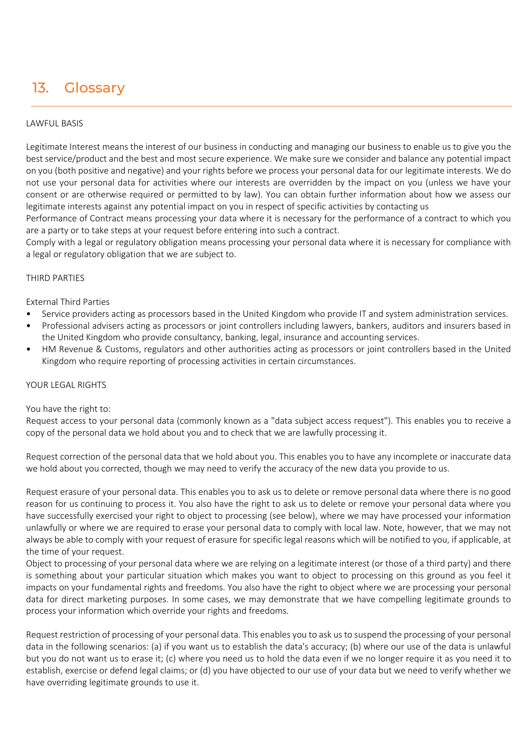# 13. Glossary

### LAWFUL BASIS

Legitimate Interest means the interest of our business in conducting and managing our business to enable us to give you the best service/product and the best and most secure experience. We make sure we consider and balance any potential impact on you (both positive and negative) and your rights before we process your personal data for our legitimate interests. We do not use your personal data for activities where our interests are overridden by the impact on you (unless we have your consent or are otherwise required or permitted to by law). You can obtain further information about how we assess our legitimate interests against any potential impact on you in respect of specific activities by contacting us

Performance of Contract means processing your data where it is necessary for the performance of a contract to which you are a party or to take steps at your request before entering into such a contract.

Comply with a legal or regulatory obligation means processing your personal data where it is necessary for compliance with a legal or regulatory obligation that we are subject to.

### THIRD PARTIES

### External Third Parties

- Service providers acting as processors based in the United Kingdom who provide IT and system administration services.
- Professional advisers acting as processors or joint controllers including lawyers, bankers, auditors and insurers based in the United Kingdom who provide consultancy, banking, legal, insurance and accounting services.
- HM Revenue & Customs, regulators and other authorities acting as processors or joint controllers based in the United Kingdom who require reporting of processing activities in certain circumstances.

### YOUR LEGAL RIGHTS

### You have the right to:

Request access to your personal data (commonly known as a "data subject access request"). This enables you to receive a copy of the personal data we hold about you and to check that we are lawfully processing it.

Request correction of the personal data that we hold about you. This enables you to have any incomplete or inaccurate data we hold about you corrected, though we may need to verify the accuracy of the new data you provide to us.

Request erasure of your personal data. This enables you to ask us to delete or remove personal data where there is no good reason for us continuing to process it. You also have the right to ask us to delete or remove your personal data where you have successfully exercised your right to object to processing (see below), where we may have processed your information unlawfully or where we are required to erase your personal data to comply with local law. Note, however, that we may not always be able to comply with your request of erasure for specific legal reasons which will be notified to you, if applicable, at the time of your request.

Object to processing of your personal data where we are relying on a legitimate interest (or those of a third party) and there is something about your particular situation which makes you want to object to processing on this ground as you feel it impacts on your fundamental rights and freedoms. You also have the right to object where we are processing your personal data for direct marketing purposes. In some cases, we may demonstrate that we have compelling legitimate grounds to process your information which override your rights and freedoms.

Request restriction of processing of your personal data. This enables you to ask us to suspend the processing of your personal data in the following scenarios: (a) if you want us to establish the data's accuracy; (b) where our use of the data is unlawful but you do not want us to erase it; (c) where you need us to hold the data even if we no longer require it as you need it to establish, exercise or defend legal claims; or (d) you have objected to our use of your data but we need to verify whether we have overriding legitimate grounds to use it.